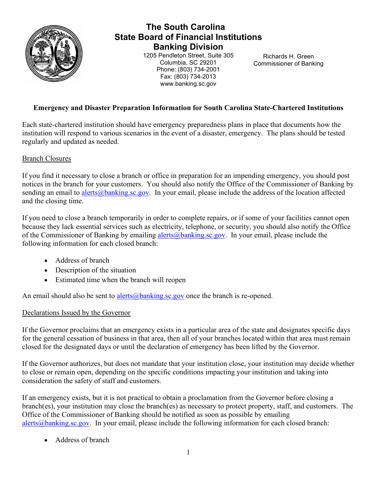

# **The South Carolina State Board of Financial Institutions Banking Division**

1205 Pendleton Street, Suite 305 Columbia, SC 29201 Phone: (803) 734-2001 Fax: (803) 734-2013 www.banking.sc.gov

Richards H. Green Commissioner of Banking

## **Emergency and Disaster Preparation Information for South Carolina State-Chartered Institutions**

Each state-chartered institution should have emergency preparedness plans in place that documents how the institution will respond to various scenarios in the event of a disaster, emergency. The plans should be tested regularly and updated as needed.

## Branch Closures

If you find it necessary to close a branch or office in preparation for an impending emergency, you should post notices in the branch for your customers. You should also notify the Office of the Commissioner of Banking by sending an email to [alerts@banking.sc.gov.](mailto:alerts@banking.sc.gov) In your email, please include the address of the location affected and the closing time.

If you need to close a branch temporarily in order to complete repairs, or if some of your facilities cannot open because they lack essential services such as electricity, telephone, or security, you should also notify the Office of the Commissioner of Banking by emailing [alerts@banking.sc.gov.](mailto:alerts@banking.sc.gov) In your email, please include the following information for each closed branch:

- Address of branch
- Description of the situation
- Estimated time when the branch will reopen

An email should also be sent to [alerts@banking.sc.gov](mailto:alerts@banking.sc.gov) once the branch is re-opened.

## Declarations Issued by the Governor

If the Governor proclaims that an emergency exists in a particular area of the state and designates specific days for the general cessation of business in that area, then all of your branches located within that area must remain closed for the designated days or until the declaration of emergency has been lifted by the Governor.

If the Governor authorizes, but does not mandate that your institution close, your institution may decide whether to close or remain open, depending on the specific conditions impacting your institution and taking into consideration the safety of staff and customers.

If an emergency exists, but it is not practical to obtain a proclamation from the Governor before closing a branch(es), your institution may close the branch(es) as necessary to protect property, staff, and customers. The Office of the Commissioner of Banking should be notified as soon as possible by emailing [alerts@banking.sc.gov.](mailto:alerts@banking.sc.gov) In your email, please include the following information for each closed branch:

• Address of branch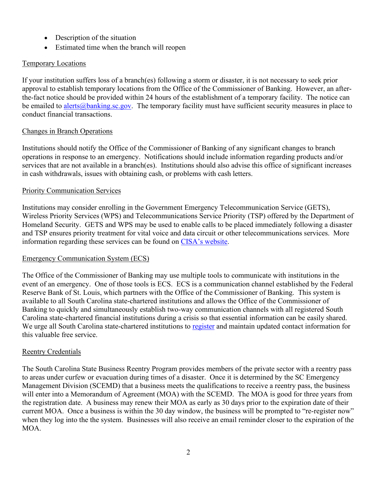- Description of the situation
- Estimated time when the branch will reopen

## Temporary Locations

If your institution suffers loss of a branch(es) following a storm or disaster, it is not necessary to seek prior approval to establish temporary locations from the Office of the Commissioner of Banking. However, an afterthe-fact notice should be provided within 24 hours of the establishment of a temporary facility. The notice can be emailed to [alerts@banking.sc.gov.](mailto:alerts@banking.sc.gov) The temporary facility must have sufficient security measures in place to conduct financial transactions.

## Changes in Branch Operations

Institutions should notify the Office of the Commissioner of Banking of any significant changes to branch operations in response to an emergency. Notifications should include information regarding products and/or services that are not available in a branch(es). Institutions should also advise this office of significant increases in cash withdrawals, issues with obtaining cash, or problems with cash letters.

## Priority Communication Services

Institutions may consider enrolling in the Government Emergency Telecommunication Service (GETS), Wireless Priority Services (WPS) and Telecommunications Service Priority (TSP) offered by the Department of Homeland Security. GETS and WPS may be used to enable calls to be placed immediately following a disaster and TSP ensures priority treatment for vital voice and data circuit or other telecommunications services. More information regarding these services can be found on [CISA's website.](https://www.cisa.gov/pts)

## Emergency Communication System (ECS)

The Office of the Commissioner of Banking may use multiple tools to communicate with institutions in the event of an emergency. One of those tools is ECS. ECS is a communication channel established by the Federal Reserve Bank of St. Louis, which partners with the Office of the Commissioner of Banking. This system is available to all South Carolina state-chartered institutions and allows the Office of the Commissioner of Banking to quickly and simultaneously establish two-way communication channels with all registered South Carolina state-chartered financial institutions during a crisis so that essential information can be easily shared. We urge all South Carolina state-chartered institutions to [register](https://bsr.stlouisfed.org/ecs) and maintain updated contact information for this valuable free service.

## Reentry Credentials

The South Carolina State Business Reentry Program provides members of the private sector with a reentry pass to areas under curfew or evacuation during times of a disaster. Once it is determined by the SC Emergency Management Division (SCEMD) that a business meets the qualifications to receive a reentry pass, the business will enter into a Memorandum of Agreement (MOA) with the SCEMD. The MOA is good for three years from the registration date. A business may renew their MOA as early as 30 days prior to the expiration date of their current MOA. Once a business is within the 30 day window, the business will be prompted to "re-register now" when they log into the the system. Businesses will also receive an email reminder closer to the expiration of the MOA.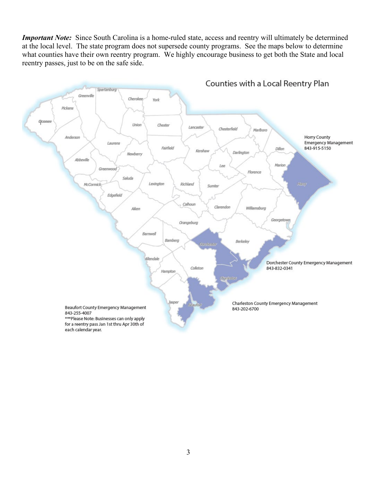*Important Note:* Since South Carolina is a home-ruled state, access and reentry will ultimately be determined at the local level. The state program does not supersede county programs. See the maps below to determine what counties have their own reentry program. We highly encourage business to get both the State and local reentry passes, just to be on the safe side.

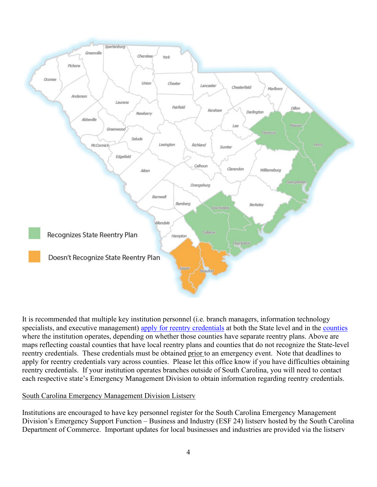

It is recommended that multiple key institution personnel (i.e. branch managers, information technology specialists, and executive management) [apply for reentry](https://www.scemd.org/recover/get-help/business-reentry/) credentials at both the State level and in the [counties](https://www.scemd.org/who-we-are/county-emergency-managers/) where the institution operates, depending on whether those counties have separate reentry plans. Above are maps reflecting coastal counties that have local reentry plans and counties that do not recognize the State-level reentry credentials. These credentials must be obtained prior to an emergency event. Note that deadlines to apply for reentry credentials vary across counties. Please let this office know if you have difficulties obtaining reentry credentials. If your institution operates branches outside of South Carolina, you will need to contact each respective state's Emergency Management Division to obtain information regarding reentry credentials.

## South Carolina Emergency Management Division Listserv

Institutions are encouraged to have key personnel register for the South Carolina Emergency Management Division's Emergency Support Function – Business and Industry (ESF 24) listserv hosted by the South Carolina Department of Commerce. Important updates for local businesses and industries are provided via the listserv